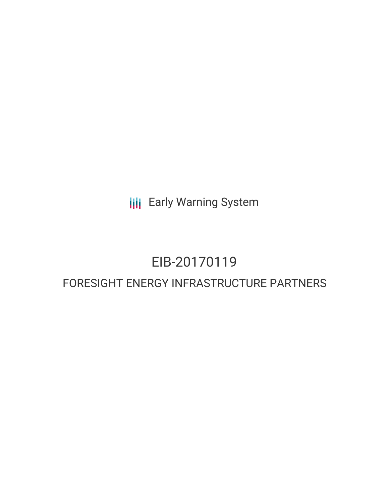**III** Early Warning System

# EIB-20170119

# FORESIGHT ENERGY INFRASTRUCTURE PARTNERS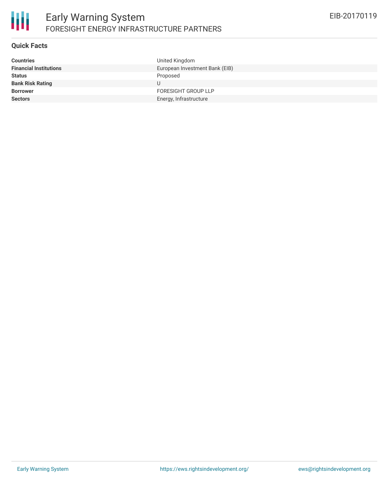

# **Quick Facts**

| <b>Countries</b>              | United Kingdom                 |
|-------------------------------|--------------------------------|
| <b>Financial Institutions</b> | European Investment Bank (EIB) |
| <b>Status</b>                 | Proposed                       |
| <b>Bank Risk Rating</b>       | U                              |
| <b>Borrower</b>               | <b>FORESIGHT GROUP LLP</b>     |
| <b>Sectors</b>                | Energy, Infrastructure         |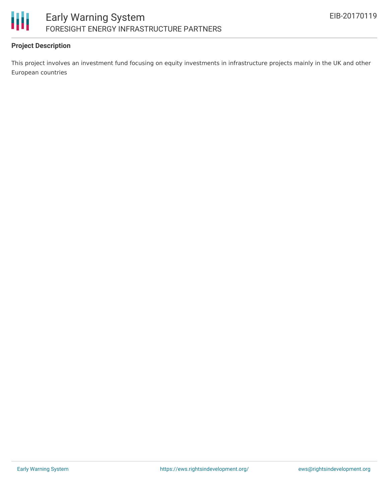

## **Project Description**

This project involves an investment fund focusing on equity investments in infrastructure projects mainly in the UK and other European countries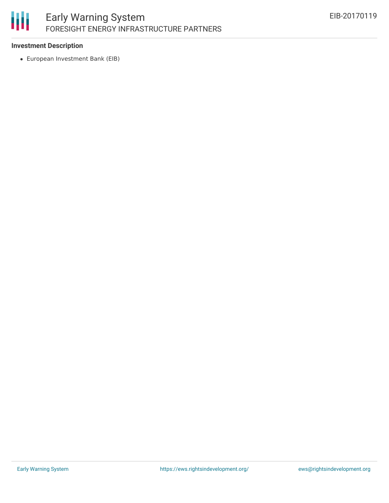# 冊 Early Warning System FORESIGHT ENERGY INFRASTRUCTURE PARTNERS

## **Investment Description**

European Investment Bank (EIB)